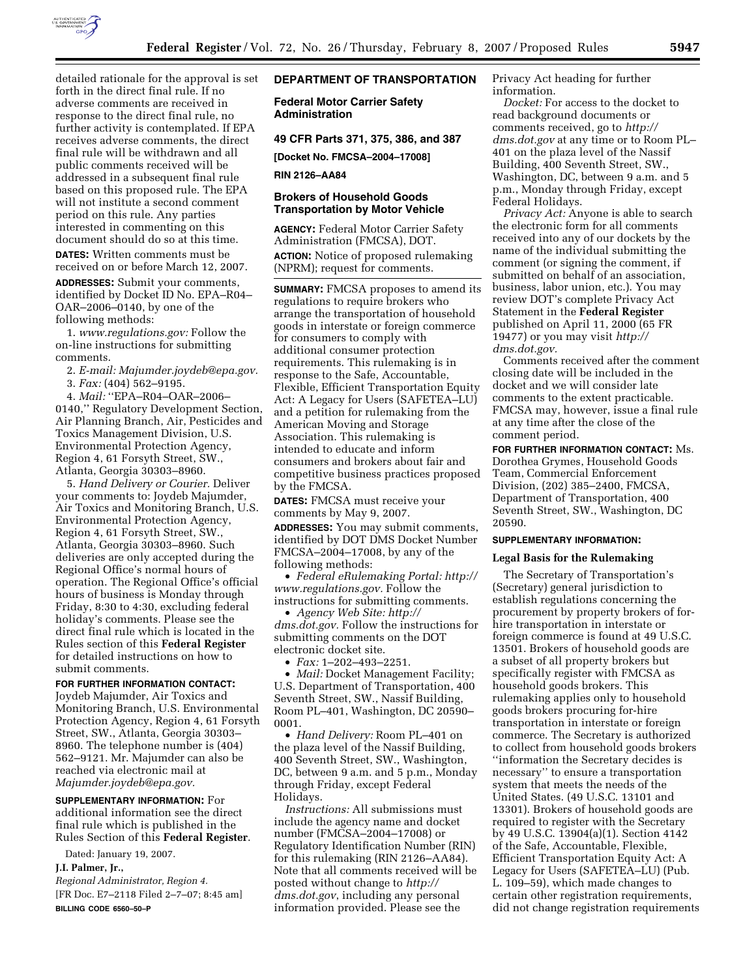

detailed rationale for the approval is set forth in the direct final rule. If no adverse comments are received in response to the direct final rule, no further activity is contemplated. If EPA receives adverse comments, the direct final rule will be withdrawn and all public comments received will be addressed in a subsequent final rule based on this proposed rule. The EPA will not institute a second comment period on this rule. Any parties interested in commenting on this document should do so at this time.

**DATES:** Written comments must be received on or before March 12, 2007.

**ADDRESSES:** Submit your comments, identified by Docket ID No. EPA–R04– OAR–2006–0140, by one of the following methods:

1. *www.regulations.gov:* Follow the on-line instructions for submitting comments.

2. *E-mail: Majumder.joydeb@epa.gov.* 

3. *Fax:* (404) 562–9195.

4. *Mail:* ''EPA–R04–OAR–2006– 0140,'' Regulatory Development Section, Air Planning Branch, Air, Pesticides and Toxics Management Division, U.S. Environmental Protection Agency, Region 4, 61 Forsyth Street, SW., Atlanta, Georgia 30303–8960.

5. *Hand Delivery or Courier.* Deliver your comments to: Joydeb Majumder, Air Toxics and Monitoring Branch, U.S. Environmental Protection Agency, Region 4, 61 Forsyth Street, SW., Atlanta, Georgia 30303–8960. Such deliveries are only accepted during the Regional Office's normal hours of operation. The Regional Office's official hours of business is Monday through Friday, 8:30 to 4:30, excluding federal holiday's comments. Please see the direct final rule which is located in the Rules section of this **Federal Register**  for detailed instructions on how to submit comments.

#### **FOR FURTHER INFORMATION CONTACT:**

Joydeb Majumder, Air Toxics and Monitoring Branch, U.S. Environmental Protection Agency, Region 4, 61 Forsyth Street, SW., Atlanta, Georgia 30303– 8960. The telephone number is (404) 562–9121. Mr. Majumder can also be reached via electronic mail at *Majumder.joydeb@epa.gov.* 

**SUPPLEMENTARY INFORMATION:** For additional information see the direct final rule which is published in the Rules Section of this **Federal Register**.

Dated: January 19, 2007.

# **J.I. Palmer, Jr.,**

*Regional Administrator, Region 4.*  [FR Doc. E7–2118 Filed 2–7–07; 8:45 am] **BILLING CODE 6560–50–P** 

# **DEPARTMENT OF TRANSPORTATION**

**Federal Motor Carrier Safety Administration** 

**49 CFR Parts 371, 375, 386, and 387** 

**[Docket No. FMCSA–2004–17008]** 

### **RIN 2126–AA84**

## **Brokers of Household Goods Transportation by Motor Vehicle**

**AGENCY:** Federal Motor Carrier Safety Administration (FMCSA), DOT. **ACTION:** Notice of proposed rulemaking (NPRM); request for comments.

**SUMMARY:** FMCSA proposes to amend its regulations to require brokers who arrange the transportation of household goods in interstate or foreign commerce for consumers to comply with additional consumer protection requirements. This rulemaking is in response to the Safe, Accountable, Flexible, Efficient Transportation Equity Act: A Legacy for Users (SAFETEA–LU) and a petition for rulemaking from the American Moving and Storage Association. This rulemaking is intended to educate and inform consumers and brokers about fair and competitive business practices proposed by the FMCSA.

**DATES:** FMCSA must receive your comments by May 9, 2007. **ADDRESSES:** You may submit comments, identified by DOT DMS Docket Number FMCSA–2004–17008, by any of the following methods:

• *Federal eRulemaking Portal: http:// www.regulations.gov.* Follow the instructions for submitting comments.

• *Agency Web Site: http:// dms.dot.gov.* Follow the instructions for submitting comments on the DOT electronic docket site.

• *Fax:* 1–202–493–2251.

• *Mail:* Docket Management Facility; U.S. Department of Transportation, 400 Seventh Street, SW., Nassif Building, Room PL–401, Washington, DC 20590– 0001.

• *Hand Delivery:* Room PL–401 on the plaza level of the Nassif Building, 400 Seventh Street, SW., Washington, DC, between 9 a.m. and 5 p.m., Monday through Friday, except Federal Holidays.

*Instructions:* All submissions must include the agency name and docket number (FMCSA–2004–17008) or Regulatory Identification Number (RIN) for this rulemaking (RIN 2126–AA84). Note that all comments received will be posted without change to *http:// dms.dot.gov*, including any personal information provided. Please see the

Privacy Act heading for further information.

*Docket:* For access to the docket to read background documents or comments received, go to *http:// dms.dot.gov* at any time or to Room PL– 401 on the plaza level of the Nassif Building, 400 Seventh Street, SW., Washington, DC, between 9 a.m. and 5 p.m., Monday through Friday, except Federal Holidays.

*Privacy Act:* Anyone is able to search the electronic form for all comments received into any of our dockets by the name of the individual submitting the comment (or signing the comment, if submitted on behalf of an association, business, labor union, etc.). You may review DOT's complete Privacy Act Statement in the **Federal Register**  published on April 11, 2000 (65 FR 19477) or you may visit *http:// dms.dot.gov.* 

Comments received after the comment closing date will be included in the docket and we will consider late comments to the extent practicable. FMCSA may, however, issue a final rule at any time after the close of the comment period.

**FOR FURTHER INFORMATION CONTACT:** Ms. Dorothea Grymes, Household Goods Team, Commercial Enforcement Division, (202) 385–2400, FMCSA, Department of Transportation, 400 Seventh Street, SW., Washington, DC 20590.

#### **SUPPLEMENTARY INFORMATION:**

#### **Legal Basis for the Rulemaking**

The Secretary of Transportation's (Secretary) general jurisdiction to establish regulations concerning the procurement by property brokers of forhire transportation in interstate or foreign commerce is found at 49 U.S.C. 13501. Brokers of household goods are a subset of all property brokers but specifically register with FMCSA as household goods brokers. This rulemaking applies only to household goods brokers procuring for-hire transportation in interstate or foreign commerce. The Secretary is authorized to collect from household goods brokers ''information the Secretary decides is necessary'' to ensure a transportation system that meets the needs of the United States. (49 U.S.C. 13101 and 13301). Brokers of household goods are required to register with the Secretary by 49 U.S.C. 13904(a)(1). Section 4142 of the Safe, Accountable, Flexible, Efficient Transportation Equity Act: A Legacy for Users (SAFETEA–LU) (Pub. L. 109–59), which made changes to certain other registration requirements, did not change registration requirements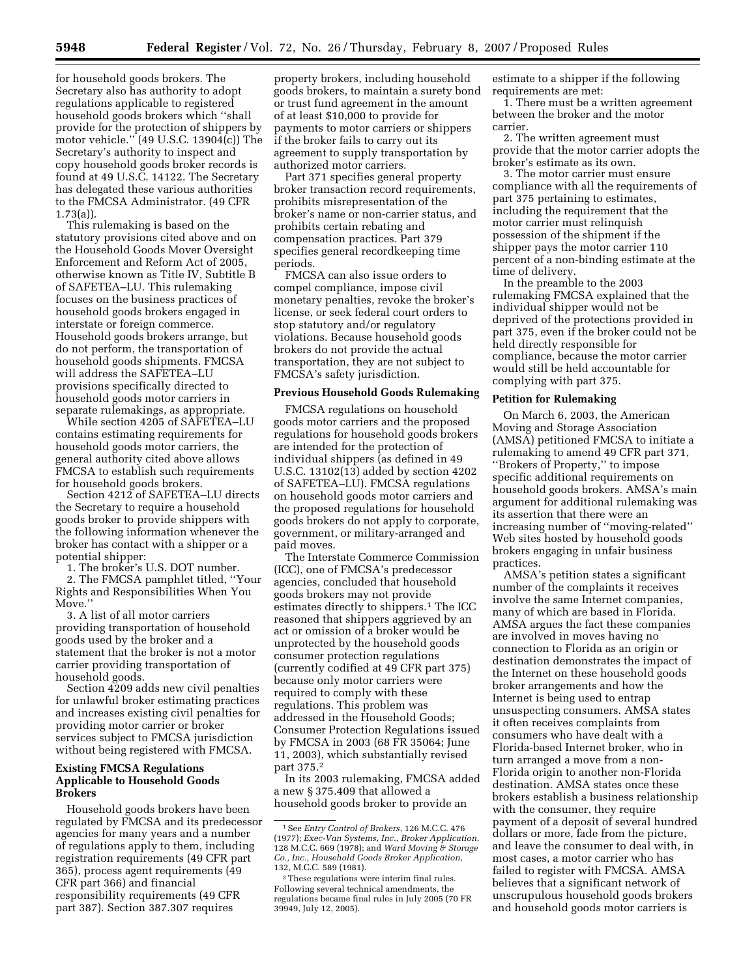for household goods brokers. The Secretary also has authority to adopt regulations applicable to registered household goods brokers which ''shall provide for the protection of shippers by motor vehicle.'' (49 U.S.C. 13904(c)) The Secretary's authority to inspect and copy household goods broker records is found at 49 U.S.C. 14122. The Secretary has delegated these various authorities to the FMCSA Administrator. (49 CFR 1.73(a)).

This rulemaking is based on the statutory provisions cited above and on the Household Goods Mover Oversight Enforcement and Reform Act of 2005, otherwise known as Title IV, Subtitle B of SAFETEA–LU. This rulemaking focuses on the business practices of household goods brokers engaged in interstate or foreign commerce. Household goods brokers arrange, but do not perform, the transportation of household goods shipments. FMCSA will address the SAFETEA–LU provisions specifically directed to household goods motor carriers in separate rulemakings, as appropriate.

While section 4205 of SAFETEA–LU contains estimating requirements for household goods motor carriers, the general authority cited above allows FMCSA to establish such requirements for household goods brokers.

Section 4212 of SAFETEA–LU directs the Secretary to require a household goods broker to provide shippers with the following information whenever the broker has contact with a shipper or a potential shipper:

1. The broker's U.S. DOT number.

2. The FMCSA pamphlet titled, ''Your Rights and Responsibilities When You Move.''

3. A list of all motor carriers providing transportation of household goods used by the broker and a statement that the broker is not a motor carrier providing transportation of household goods.

Section 4209 adds new civil penalties for unlawful broker estimating practices and increases existing civil penalties for providing motor carrier or broker services subject to FMCSA jurisdiction without being registered with FMCSA.

# **Existing FMCSA Regulations Applicable to Household Goods Brokers**

Household goods brokers have been regulated by FMCSA and its predecessor agencies for many years and a number of regulations apply to them, including registration requirements (49 CFR part 365), process agent requirements (49 CFR part 366) and financial responsibility requirements (49 CFR part 387). Section 387.307 requires

property brokers, including household goods brokers, to maintain a surety bond or trust fund agreement in the amount of at least \$10,000 to provide for payments to motor carriers or shippers if the broker fails to carry out its agreement to supply transportation by authorized motor carriers.

Part 371 specifies general property broker transaction record requirements, prohibits misrepresentation of the broker's name or non-carrier status, and prohibits certain rebating and compensation practices. Part 379 specifies general recordkeeping time periods.

FMCSA can also issue orders to compel compliance, impose civil monetary penalties, revoke the broker's license, or seek federal court orders to stop statutory and/or regulatory violations. Because household goods brokers do not provide the actual transportation, they are not subject to FMCSA's safety jurisdiction.

### **Previous Household Goods Rulemaking**

FMCSA regulations on household goods motor carriers and the proposed regulations for household goods brokers are intended for the protection of individual shippers (as defined in 49 U.S.C. 13102(13) added by section 4202 of SAFETEA–LU). FMCSA regulations on household goods motor carriers and the proposed regulations for household goods brokers do not apply to corporate, government, or military-arranged and paid moves.

The Interstate Commerce Commission (ICC), one of FMCSA's predecessor agencies, concluded that household goods brokers may not provide estimates directly to shippers.1 The ICC reasoned that shippers aggrieved by an act or omission of a broker would be unprotected by the household goods consumer protection regulations (currently codified at 49 CFR part 375) because only motor carriers were required to comply with these regulations. This problem was addressed in the Household Goods; Consumer Protection Regulations issued by FMCSA in 2003 (68 FR 35064; June 11, 2003), which substantially revised part 375.2

In its 2003 rulemaking, FMCSA added a new § 375.409 that allowed a household goods broker to provide an

estimate to a shipper if the following requirements are met:

1. There must be a written agreement between the broker and the motor carrier.

2. The written agreement must provide that the motor carrier adopts the broker's estimate as its own.

3. The motor carrier must ensure compliance with all the requirements of part 375 pertaining to estimates, including the requirement that the motor carrier must relinquish possession of the shipment if the shipper pays the motor carrier 110 percent of a non-binding estimate at the time of delivery.

In the preamble to the 2003 rulemaking FMCSA explained that the individual shipper would not be deprived of the protections provided in part 375, even if the broker could not be held directly responsible for compliance, because the motor carrier would still be held accountable for complying with part 375.

### **Petition for Rulemaking**

On March 6, 2003, the American Moving and Storage Association (AMSA) petitioned FMCSA to initiate a rulemaking to amend 49 CFR part 371, ''Brokers of Property,'' to impose specific additional requirements on household goods brokers. AMSA's main argument for additional rulemaking was its assertion that there were an increasing number of ''moving-related'' Web sites hosted by household goods brokers engaging in unfair business practices.

AMSA's petition states a significant number of the complaints it receives involve the same Internet companies, many of which are based in Florida. AMSA argues the fact these companies are involved in moves having no connection to Florida as an origin or destination demonstrates the impact of the Internet on these household goods broker arrangements and how the Internet is being used to entrap unsuspecting consumers. AMSA states it often receives complaints from consumers who have dealt with a Florida-based Internet broker, who in turn arranged a move from a non-Florida origin to another non-Florida destination. AMSA states once these brokers establish a business relationship with the consumer, they require payment of a deposit of several hundred dollars or more, fade from the picture, and leave the consumer to deal with, in most cases, a motor carrier who has failed to register with FMCSA. AMSA believes that a significant network of unscrupulous household goods brokers and household goods motor carriers is

<sup>1</sup>See *Entry Control of Brokers*, 126 M.C.C. 476 (1977); *Exec-Van Systems, Inc., Broker Application*, 128 M.C.C. 669 (1978); and *Ward Moving & Storage Co., Inc., Household Goods Broker Application*, 132, M.C.C. 589 (1981).

<sup>2</sup>These regulations were interim final rules. Following several technical amendments, the regulations became final rules in July 2005 (70 FR 39949, July 12, 2005).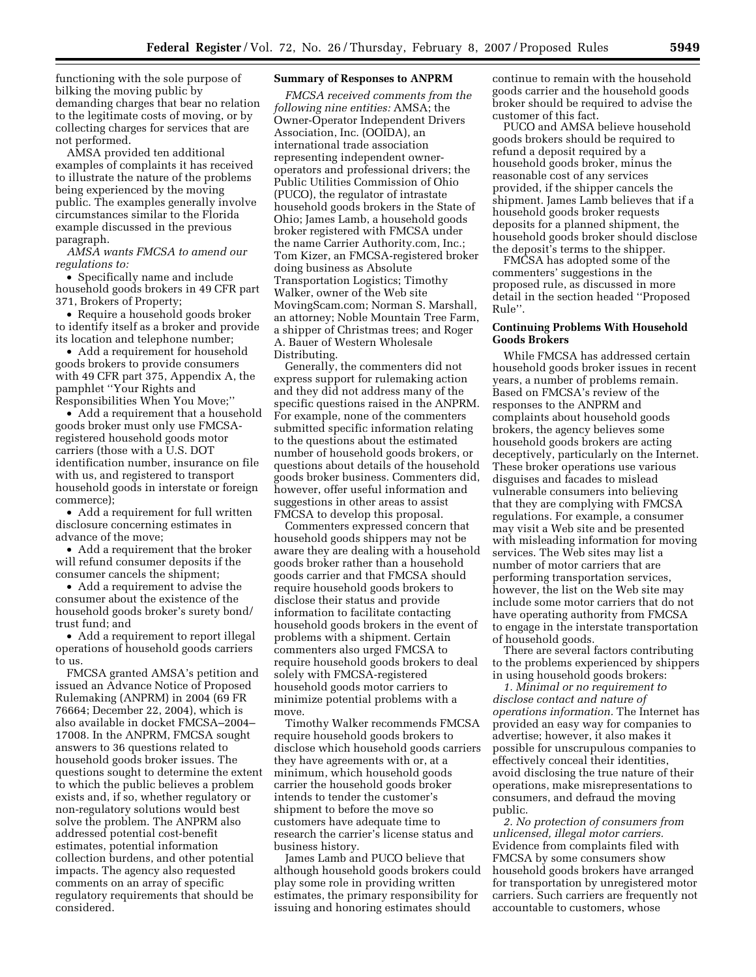functioning with the sole purpose of bilking the moving public by demanding charges that bear no relation to the legitimate costs of moving, or by collecting charges for services that are not performed.

AMSA provided ten additional examples of complaints it has received to illustrate the nature of the problems being experienced by the moving public. The examples generally involve circumstances similar to the Florida example discussed in the previous paragraph.

*AMSA wants FMCSA to amend our regulations to:* 

• Specifically name and include household goods brokers in 49 CFR part 371, Brokers of Property;

• Require a household goods broker to identify itself as a broker and provide its location and telephone number;

• Add a requirement for household goods brokers to provide consumers with 49 CFR part 375, Appendix A, the pamphlet ''Your Rights and Responsibilities When You Move;''

• Add a requirement that a household goods broker must only use FMCSAregistered household goods motor carriers (those with a U.S. DOT identification number, insurance on file with us, and registered to transport household goods in interstate or foreign commerce);

• Add a requirement for full written disclosure concerning estimates in advance of the move;

• Add a requirement that the broker will refund consumer deposits if the consumer cancels the shipment;

• Add a requirement to advise the consumer about the existence of the household goods broker's surety bond/ trust fund; and

• Add a requirement to report illegal operations of household goods carriers to us.

FMCSA granted AMSA's petition and issued an Advance Notice of Proposed Rulemaking (ANPRM) in 2004 (69 FR 76664; December 22, 2004), which is also available in docket FMCSA–2004– 17008. In the ANPRM, FMCSA sought answers to 36 questions related to household goods broker issues. The questions sought to determine the extent to which the public believes a problem exists and, if so, whether regulatory or non-regulatory solutions would best solve the problem. The ANPRM also addressed potential cost-benefit estimates, potential information collection burdens, and other potential impacts. The agency also requested comments on an array of specific regulatory requirements that should be considered.

## **Summary of Responses to ANPRM**

*FMCSA received comments from the following nine entities:* AMSA; the Owner-Operator Independent Drivers Association, Inc. (OOIDA), an international trade association representing independent owneroperators and professional drivers; the Public Utilities Commission of Ohio (PUCO), the regulator of intrastate household goods brokers in the State of Ohio; James Lamb, a household goods broker registered with FMCSA under the name Carrier Authority.com, Inc.; Tom Kizer, an FMCSA-registered broker doing business as Absolute Transportation Logistics; Timothy Walker, owner of the Web site MovingScam.com; Norman S. Marshall, an attorney; Noble Mountain Tree Farm, a shipper of Christmas trees; and Roger A. Bauer of Western Wholesale Distributing.

Generally, the commenters did not express support for rulemaking action and they did not address many of the specific questions raised in the ANPRM. For example, none of the commenters submitted specific information relating to the questions about the estimated number of household goods brokers, or questions about details of the household goods broker business. Commenters did, however, offer useful information and suggestions in other areas to assist FMCSA to develop this proposal.

Commenters expressed concern that household goods shippers may not be aware they are dealing with a household goods broker rather than a household goods carrier and that FMCSA should require household goods brokers to disclose their status and provide information to facilitate contacting household goods brokers in the event of problems with a shipment. Certain commenters also urged FMCSA to require household goods brokers to deal solely with FMCSA-registered household goods motor carriers to minimize potential problems with a move.

Timothy Walker recommends FMCSA require household goods brokers to disclose which household goods carriers they have agreements with or, at a minimum, which household goods carrier the household goods broker intends to tender the customer's shipment to before the move so customers have adequate time to research the carrier's license status and business history.

James Lamb and PUCO believe that although household goods brokers could play some role in providing written estimates, the primary responsibility for issuing and honoring estimates should

continue to remain with the household goods carrier and the household goods broker should be required to advise the customer of this fact.

PUCO and AMSA believe household goods brokers should be required to refund a deposit required by a household goods broker, minus the reasonable cost of any services provided, if the shipper cancels the shipment. James Lamb believes that if a household goods broker requests deposits for a planned shipment, the household goods broker should disclose the deposit's terms to the shipper.

FMCSA has adopted some of the commenters' suggestions in the proposed rule, as discussed in more detail in the section headed ''Proposed Rule''.

### **Continuing Problems With Household Goods Brokers**

While FMCSA has addressed certain household goods broker issues in recent years, a number of problems remain. Based on FMCSA's review of the responses to the ANPRM and complaints about household goods brokers, the agency believes some household goods brokers are acting deceptively, particularly on the Internet. These broker operations use various disguises and facades to mislead vulnerable consumers into believing that they are complying with FMCSA regulations. For example, a consumer may visit a Web site and be presented with misleading information for moving services. The Web sites may list a number of motor carriers that are performing transportation services, however, the list on the Web site may include some motor carriers that do not have operating authority from FMCSA to engage in the interstate transportation of household goods.

There are several factors contributing to the problems experienced by shippers in using household goods brokers:

*1. Minimal or no requirement to disclose contact and nature of operations information.* The Internet has provided an easy way for companies to advertise; however, it also makes it possible for unscrupulous companies to effectively conceal their identities, avoid disclosing the true nature of their operations, make misrepresentations to consumers, and defraud the moving public.

*2. No protection of consumers from unlicensed, illegal motor carriers.*  Evidence from complaints filed with FMCSA by some consumers show household goods brokers have arranged for transportation by unregistered motor carriers. Such carriers are frequently not accountable to customers, whose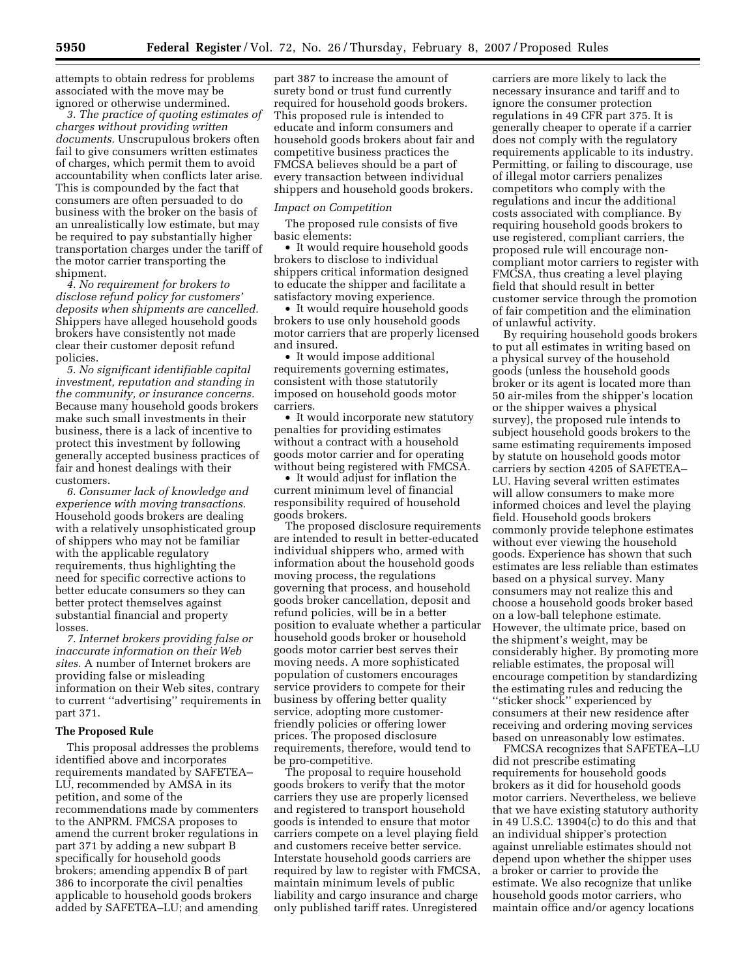attempts to obtain redress for problems associated with the move may be ignored or otherwise undermined.

*3. The practice of quoting estimates of charges without providing written documents.* Unscrupulous brokers often fail to give consumers written estimates of charges, which permit them to avoid accountability when conflicts later arise. This is compounded by the fact that consumers are often persuaded to do business with the broker on the basis of an unrealistically low estimate, but may be required to pay substantially higher transportation charges under the tariff of the motor carrier transporting the shipment.

*4. No requirement for brokers to disclose refund policy for customers' deposits when shipments are cancelled.*  Shippers have alleged household goods brokers have consistently not made clear their customer deposit refund policies.

*5. No significant identifiable capital investment, reputation and standing in the community, or insurance concerns.*  Because many household goods brokers make such small investments in their business, there is a lack of incentive to protect this investment by following generally accepted business practices of fair and honest dealings with their customers.

*6. Consumer lack of knowledge and experience with moving transactions.*  Household goods brokers are dealing with a relatively unsophisticated group of shippers who may not be familiar with the applicable regulatory requirements, thus highlighting the need for specific corrective actions to better educate consumers so they can better protect themselves against substantial financial and property losses.

*7. Internet brokers providing false or inaccurate information on their Web sites.* A number of Internet brokers are providing false or misleading information on their Web sites, contrary to current ''advertising'' requirements in part 371.

#### **The Proposed Rule**

This proposal addresses the problems identified above and incorporates requirements mandated by SAFETEA– LU, recommended by AMSA in its petition, and some of the recommendations made by commenters to the ANPRM. FMCSA proposes to amend the current broker regulations in part 371 by adding a new subpart B specifically for household goods brokers; amending appendix B of part 386 to incorporate the civil penalties applicable to household goods brokers added by SAFETEA–LU; and amending

part 387 to increase the amount of surety bond or trust fund currently required for household goods brokers. This proposed rule is intended to educate and inform consumers and household goods brokers about fair and competitive business practices the FMCSA believes should be a part of every transaction between individual shippers and household goods brokers.

## *Impact on Competition*

The proposed rule consists of five basic elements:

• It would require household goods brokers to disclose to individual shippers critical information designed to educate the shipper and facilitate a satisfactory moving experience.

• It would require household goods brokers to use only household goods motor carriers that are properly licensed and insured.

• It would impose additional requirements governing estimates, consistent with those statutorily imposed on household goods motor carriers.

• It would incorporate new statutory penalties for providing estimates without a contract with a household goods motor carrier and for operating without being registered with FMCSA.

• It would adjust for inflation the current minimum level of financial responsibility required of household goods brokers.

The proposed disclosure requirements are intended to result in better-educated individual shippers who, armed with information about the household goods moving process, the regulations governing that process, and household goods broker cancellation, deposit and refund policies, will be in a better position to evaluate whether a particular household goods broker or household goods motor carrier best serves their moving needs. A more sophisticated population of customers encourages service providers to compete for their business by offering better quality service, adopting more customerfriendly policies or offering lower prices. The proposed disclosure requirements, therefore, would tend to be pro-competitive.

The proposal to require household goods brokers to verify that the motor carriers they use are properly licensed and registered to transport household goods is intended to ensure that motor carriers compete on a level playing field and customers receive better service. Interstate household goods carriers are required by law to register with FMCSA, maintain minimum levels of public liability and cargo insurance and charge only published tariff rates. Unregistered

carriers are more likely to lack the necessary insurance and tariff and to ignore the consumer protection regulations in 49 CFR part 375. It is generally cheaper to operate if a carrier does not comply with the regulatory requirements applicable to its industry. Permitting, or failing to discourage, use of illegal motor carriers penalizes competitors who comply with the regulations and incur the additional costs associated with compliance. By requiring household goods brokers to use registered, compliant carriers, the proposed rule will encourage noncompliant motor carriers to register with FMCSA, thus creating a level playing field that should result in better customer service through the promotion of fair competition and the elimination of unlawful activity.

By requiring household goods brokers to put all estimates in writing based on a physical survey of the household goods (unless the household goods broker or its agent is located more than 50 air-miles from the shipper's location or the shipper waives a physical survey), the proposed rule intends to subject household goods brokers to the same estimating requirements imposed by statute on household goods motor carriers by section 4205 of SAFETEA– LU. Having several written estimates will allow consumers to make more informed choices and level the playing field. Household goods brokers commonly provide telephone estimates without ever viewing the household goods. Experience has shown that such estimates are less reliable than estimates based on a physical survey. Many consumers may not realize this and choose a household goods broker based on a low-ball telephone estimate. However, the ultimate price, based on the shipment's weight, may be considerably higher. By promoting more reliable estimates, the proposal will encourage competition by standardizing the estimating rules and reducing the ''sticker shock'' experienced by consumers at their new residence after receiving and ordering moving services based on unreasonably low estimates.

FMCSA recognizes that SAFETEA–LU did not prescribe estimating requirements for household goods brokers as it did for household goods motor carriers. Nevertheless, we believe that we have existing statutory authority in 49 U.S.C. 13904(c) to do this and that an individual shipper's protection against unreliable estimates should not depend upon whether the shipper uses a broker or carrier to provide the estimate. We also recognize that unlike household goods motor carriers, who maintain office and/or agency locations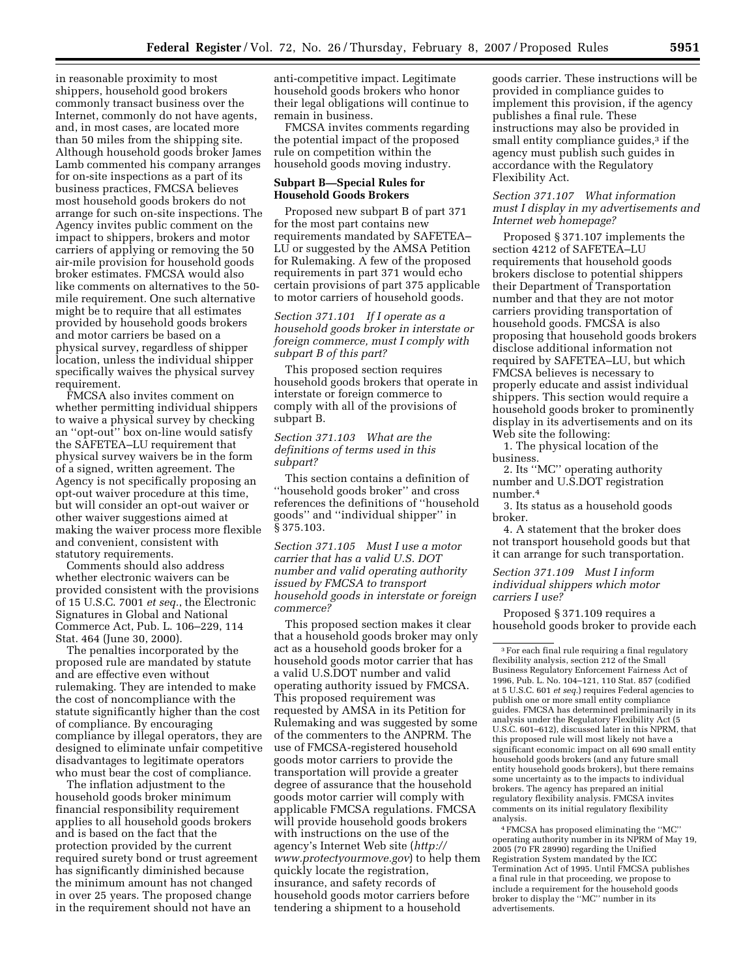in reasonable proximity to most shippers, household good brokers commonly transact business over the Internet, commonly do not have agents, and, in most cases, are located more than 50 miles from the shipping site. Although household goods broker James Lamb commented his company arranges for on-site inspections as a part of its business practices, FMCSA believes most household goods brokers do not arrange for such on-site inspections. The Agency invites public comment on the impact to shippers, brokers and motor carriers of applying or removing the 50 air-mile provision for household goods broker estimates. FMCSA would also like comments on alternatives to the 50 mile requirement. One such alternative might be to require that all estimates provided by household goods brokers and motor carriers be based on a physical survey, regardless of shipper location, unless the individual shipper specifically waives the physical survey requirement.

FMCSA also invites comment on whether permitting individual shippers to waive a physical survey by checking an ''opt-out'' box on-line would satisfy the SAFETEA–LU requirement that physical survey waivers be in the form of a signed, written agreement. The Agency is not specifically proposing an opt-out waiver procedure at this time, but will consider an opt-out waiver or other waiver suggestions aimed at making the waiver process more flexible and convenient, consistent with statutory requirements.

Comments should also address whether electronic waivers can be provided consistent with the provisions of 15 U.S.C. 7001 *et seq.*, the Electronic Signatures in Global and National Commerce Act, Pub. L. 106–229, 114 Stat. 464 (June 30, 2000).

The penalties incorporated by the proposed rule are mandated by statute and are effective even without rulemaking. They are intended to make the cost of noncompliance with the statute significantly higher than the cost of compliance. By encouraging compliance by illegal operators, they are designed to eliminate unfair competitive disadvantages to legitimate operators who must bear the cost of compliance.

The inflation adjustment to the household goods broker minimum financial responsibility requirement applies to all household goods brokers and is based on the fact that the protection provided by the current required surety bond or trust agreement has significantly diminished because the minimum amount has not changed in over 25 years. The proposed change in the requirement should not have an

anti-competitive impact. Legitimate household goods brokers who honor their legal obligations will continue to remain in business.

FMCSA invites comments regarding the potential impact of the proposed rule on competition within the household goods moving industry.

### **Subpart B—Special Rules for Household Goods Brokers**

Proposed new subpart B of part 371 for the most part contains new requirements mandated by SAFETEA– LU or suggested by the AMSA Petition for Rulemaking. A few of the proposed requirements in part 371 would echo certain provisions of part 375 applicable to motor carriers of household goods.

*Section 371.101 If I operate as a household goods broker in interstate or foreign commerce, must I comply with subpart B of this part?* 

This proposed section requires household goods brokers that operate in interstate or foreign commerce to comply with all of the provisions of subpart B.

# *Section 371.103 What are the definitions of terms used in this subpart?*

This section contains a definition of ''household goods broker'' and cross references the definitions of ''household goods'' and ''individual shipper'' in § 375.103.

*Section 371.105 Must I use a motor carrier that has a valid U.S. DOT number and valid operating authority issued by FMCSA to transport household goods in interstate or foreign commerce?* 

This proposed section makes it clear that a household goods broker may only act as a household goods broker for a household goods motor carrier that has a valid U.S.DOT number and valid operating authority issued by FMCSA. This proposed requirement was requested by AMSA in its Petition for Rulemaking and was suggested by some of the commenters to the ANPRM. The use of FMCSA-registered household goods motor carriers to provide the transportation will provide a greater degree of assurance that the household goods motor carrier will comply with applicable FMCSA regulations. FMCSA will provide household goods brokers with instructions on the use of the agency's Internet Web site (*http:// www.protectyourmove.gov*) to help them quickly locate the registration, insurance, and safety records of household goods motor carriers before tendering a shipment to a household

goods carrier. These instructions will be provided in compliance guides to implement this provision, if the agency publishes a final rule. These instructions may also be provided in small entity compliance guides,<sup>3</sup> if the agency must publish such guides in accordance with the Regulatory Flexibility Act.

# *Section 371.107 What information must I display in my advertisements and Internet web homepage?*

Proposed § 371.107 implements the section 4212 of SAFETEA–LU requirements that household goods brokers disclose to potential shippers their Department of Transportation number and that they are not motor carriers providing transportation of household goods. FMCSA is also proposing that household goods brokers disclose additional information not required by SAFETEA–LU, but which FMCSA believes is necessary to properly educate and assist individual shippers. This section would require a household goods broker to prominently display in its advertisements and on its Web site the following:

1. The physical location of the business.

2. Its ''MC'' operating authority number and U.S.DOT registration number.4

3. Its status as a household goods broker.

4. A statement that the broker does not transport household goods but that it can arrange for such transportation.

*Section 371.109 Must I inform individual shippers which motor carriers I use?* 

Proposed § 371.109 requires a household goods broker to provide each

4FMCSA has proposed eliminating the ''MC'' operating authority number in its NPRM of May 19, 2005 (70 FR 28990) regarding the Unified Registration System mandated by the ICC Termination Act of 1995. Until FMCSA publishes a final rule in that proceeding, we propose to include a requirement for the household goods broker to display the ''MC'' number in its advertisements.

<sup>3</sup>For each final rule requiring a final regulatory flexibility analysis, section 212 of the Small Business Regulatory Enforcement Fairness Act of 1996, Pub. L. No. 104–121, 110 Stat. 857 (codified at 5 U.S.C. 601 *et seq.*) requires Federal agencies to publish one or more small entity compliance guides. FMCSA has determined preliminarily in its analysis under the Regulatory Flexibility Act (5 U.S.C. 601–612), discussed later in this NPRM, that this proposed rule will most likely not have a significant economic impact on all 690 small entity household goods brokers (and any future small entity household goods brokers), but there remains some uncertainty as to the impacts to individual brokers. The agency has prepared an initial regulatory flexibility analysis. FMCSA invites comments on its initial regulatory flexibility analysis.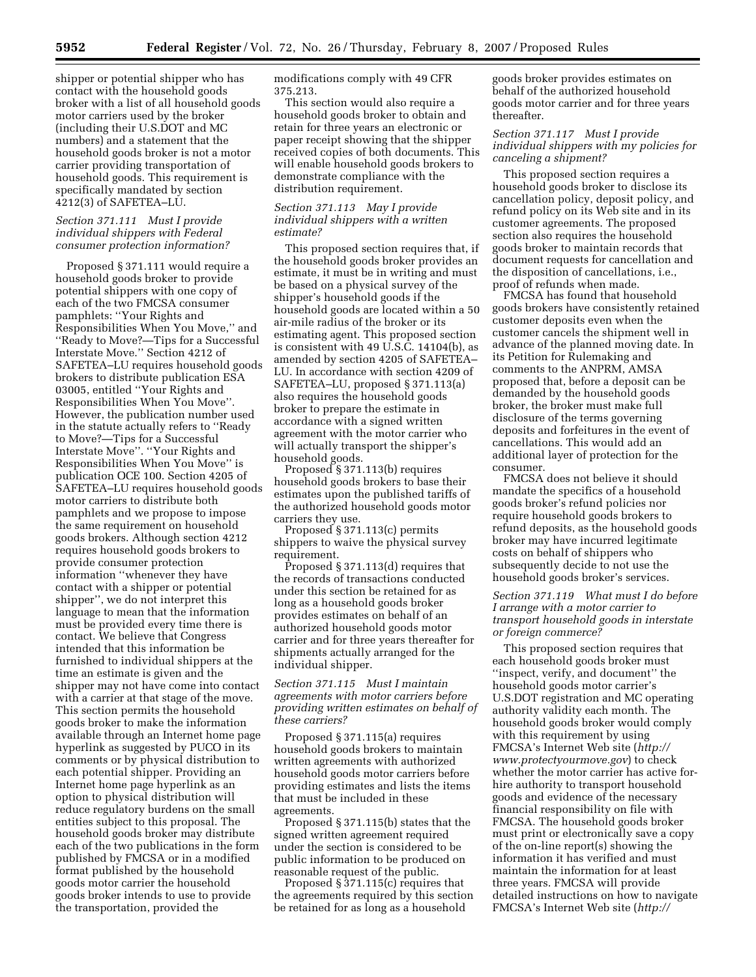shipper or potential shipper who has contact with the household goods broker with a list of all household goods motor carriers used by the broker (including their U.S.DOT and MC numbers) and a statement that the household goods broker is not a motor carrier providing transportation of household goods. This requirement is specifically mandated by section 4212(3) of SAFETEA–LU.

### *Section 371.111 Must I provide individual shippers with Federal consumer protection information?*

Proposed § 371.111 would require a household goods broker to provide potential shippers with one copy of each of the two FMCSA consumer pamphlets: ''Your Rights and Responsibilities When You Move,'' and ''Ready to Move?—Tips for a Successful Interstate Move.'' Section 4212 of SAFETEA–LU requires household goods brokers to distribute publication ESA 03005, entitled ''Your Rights and Responsibilities When You Move''. However, the publication number used in the statute actually refers to ''Ready to Move?—Tips for a Successful Interstate Move''. ''Your Rights and Responsibilities When You Move'' is publication OCE 100. Section 4205 of SAFETEA–LU requires household goods motor carriers to distribute both pamphlets and we propose to impose the same requirement on household goods brokers. Although section 4212 requires household goods brokers to provide consumer protection information ''whenever they have contact with a shipper or potential shipper'', we do not interpret this language to mean that the information must be provided every time there is contact. We believe that Congress intended that this information be furnished to individual shippers at the time an estimate is given and the shipper may not have come into contact with a carrier at that stage of the move. This section permits the household goods broker to make the information available through an Internet home page hyperlink as suggested by PUCO in its comments or by physical distribution to each potential shipper. Providing an Internet home page hyperlink as an option to physical distribution will reduce regulatory burdens on the small entities subject to this proposal. The household goods broker may distribute each of the two publications in the form published by FMCSA or in a modified format published by the household goods motor carrier the household goods broker intends to use to provide the transportation, provided the

modifications comply with 49 CFR 375.213.

This section would also require a household goods broker to obtain and retain for three years an electronic or paper receipt showing that the shipper received copies of both documents. This will enable household goods brokers to demonstrate compliance with the distribution requirement.

### *Section 371.113 May I provide individual shippers with a written estimate?*

This proposed section requires that, if the household goods broker provides an estimate, it must be in writing and must be based on a physical survey of the shipper's household goods if the household goods are located within a 50 air-mile radius of the broker or its estimating agent. This proposed section is consistent with 49 U.S.C. 14104(b), as amended by section 4205 of SAFETEA– LU. In accordance with section 4209 of SAFETEA–LU, proposed § 371.113(a) also requires the household goods broker to prepare the estimate in accordance with a signed written agreement with the motor carrier who will actually transport the shipper's household goods.

Proposed § 371.113(b) requires household goods brokers to base their estimates upon the published tariffs of the authorized household goods motor carriers they use.

Proposed § 371.113(c) permits shippers to waive the physical survey requirement.

Proposed § 371.113(d) requires that the records of transactions conducted under this section be retained for as long as a household goods broker provides estimates on behalf of an authorized household goods motor carrier and for three years thereafter for shipments actually arranged for the individual shipper.

# *Section 371.115 Must I maintain agreements with motor carriers before providing written estimates on behalf of these carriers?*

Proposed § 371.115(a) requires household goods brokers to maintain written agreements with authorized household goods motor carriers before providing estimates and lists the items that must be included in these agreements.

Proposed § 371.115(b) states that the signed written agreement required under the section is considered to be public information to be produced on reasonable request of the public.

Proposed § 371.115(c) requires that the agreements required by this section be retained for as long as a household

goods broker provides estimates on behalf of the authorized household goods motor carrier and for three years thereafter.

# *Section 371.117 Must I provide individual shippers with my policies for canceling a shipment?*

This proposed section requires a household goods broker to disclose its cancellation policy, deposit policy, and refund policy on its Web site and in its customer agreements. The proposed section also requires the household goods broker to maintain records that document requests for cancellation and the disposition of cancellations, i.e., proof of refunds when made.

FMCSA has found that household goods brokers have consistently retained customer deposits even when the customer cancels the shipment well in advance of the planned moving date. In its Petition for Rulemaking and comments to the ANPRM, AMSA proposed that, before a deposit can be demanded by the household goods broker, the broker must make full disclosure of the terms governing deposits and forfeitures in the event of cancellations. This would add an additional layer of protection for the consumer.

FMCSA does not believe it should mandate the specifics of a household goods broker's refund policies nor require household goods brokers to refund deposits, as the household goods broker may have incurred legitimate costs on behalf of shippers who subsequently decide to not use the household goods broker's services.

# *Section 371.119 What must I do before I arrange with a motor carrier to transport household goods in interstate or foreign commerce?*

This proposed section requires that each household goods broker must ''inspect, verify, and document'' the household goods motor carrier's U.S.DOT registration and MC operating authority validity each month. The household goods broker would comply with this requirement by using FMCSA's Internet Web site (*http:// www.protectyourmove.gov*) to check whether the motor carrier has active forhire authority to transport household goods and evidence of the necessary financial responsibility on file with FMCSA. The household goods broker must print or electronically save a copy of the on-line report(s) showing the information it has verified and must maintain the information for at least three years. FMCSA will provide detailed instructions on how to navigate FMCSA's Internet Web site (*http://*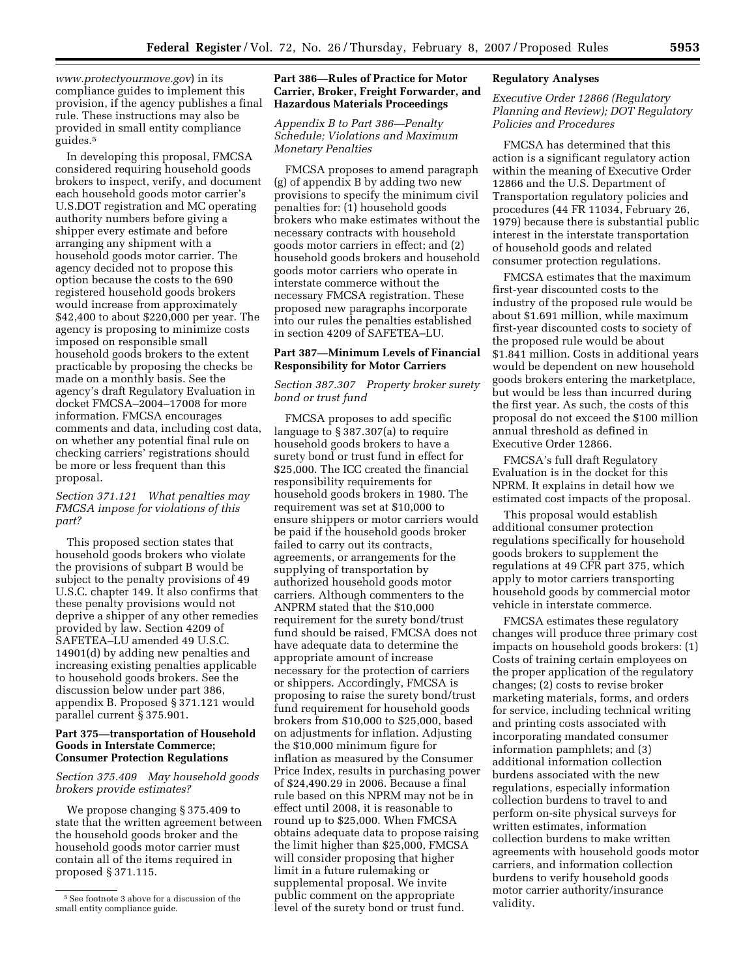*www.protectyourmove.gov*) in its compliance guides to implement this provision, if the agency publishes a final rule. These instructions may also be provided in small entity compliance guides.5

In developing this proposal, FMCSA considered requiring household goods brokers to inspect, verify, and document each household goods motor carrier's U.S.DOT registration and MC operating authority numbers before giving a shipper every estimate and before arranging any shipment with a household goods motor carrier. The agency decided not to propose this option because the costs to the 690 registered household goods brokers would increase from approximately \$42,400 to about \$220,000 per year. The agency is proposing to minimize costs imposed on responsible small household goods brokers to the extent practicable by proposing the checks be made on a monthly basis. See the agency's draft Regulatory Evaluation in docket FMCSA–2004–17008 for more information. FMCSA encourages comments and data, including cost data, on whether any potential final rule on checking carriers' registrations should be more or less frequent than this proposal.

# *Section 371.121 What penalties may FMCSA impose for violations of this part?*

This proposed section states that household goods brokers who violate the provisions of subpart B would be subject to the penalty provisions of 49 U.S.C. chapter 149. It also confirms that these penalty provisions would not deprive a shipper of any other remedies provided by law. Section 4209 of SAFETEA–LU amended 49 U.S.C. 14901(d) by adding new penalties and increasing existing penalties applicable to household goods brokers. See the discussion below under part 386, appendix B. Proposed § 371.121 would parallel current § 375.901.

### **Part 375—transportation of Household Goods in Interstate Commerce; Consumer Protection Regulations**

### *Section 375.409 May household goods brokers provide estimates?*

We propose changing § 375.409 to state that the written agreement between the household goods broker and the household goods motor carrier must contain all of the items required in proposed § 371.115.

# **Part 386—Rules of Practice for Motor Carrier, Broker, Freight Forwarder, and Hazardous Materials Proceedings**

# *Appendix B to Part 386—Penalty Schedule; Violations and Maximum Monetary Penalties*

FMCSA proposes to amend paragraph (g) of appendix B by adding two new provisions to specify the minimum civil penalties for: (1) household goods brokers who make estimates without the necessary contracts with household goods motor carriers in effect; and (2) household goods brokers and household goods motor carriers who operate in interstate commerce without the necessary FMCSA registration. These proposed new paragraphs incorporate into our rules the penalties established in section 4209 of SAFETEA–LU.

## **Part 387—Minimum Levels of Financial Responsibility for Motor Carriers**

# *Section 387.307 Property broker surety bond or trust fund*

FMCSA proposes to add specific language to § 387.307(a) to require household goods brokers to have a surety bond or trust fund in effect for \$25,000. The ICC created the financial responsibility requirements for household goods brokers in 1980. The requirement was set at \$10,000 to ensure shippers or motor carriers would be paid if the household goods broker failed to carry out its contracts, agreements, or arrangements for the supplying of transportation by authorized household goods motor carriers. Although commenters to the ANPRM stated that the \$10,000 requirement for the surety bond/trust fund should be raised, FMCSA does not have adequate data to determine the appropriate amount of increase necessary for the protection of carriers or shippers. Accordingly, FMCSA is proposing to raise the surety bond/trust fund requirement for household goods brokers from \$10,000 to \$25,000, based on adjustments for inflation. Adjusting the \$10,000 minimum figure for inflation as measured by the Consumer Price Index, results in purchasing power of \$24,490.29 in 2006. Because a final rule based on this NPRM may not be in effect until 2008, it is reasonable to round up to \$25,000. When FMCSA obtains adequate data to propose raising the limit higher than \$25,000, FMCSA will consider proposing that higher limit in a future rulemaking or supplemental proposal. We invite public comment on the appropriate level of the surety bond or trust fund.

# **Regulatory Analyses**

# *Executive Order 12866 (Regulatory Planning and Review); DOT Regulatory Policies and Procedures*

FMCSA has determined that this action is a significant regulatory action within the meaning of Executive Order 12866 and the U.S. Department of Transportation regulatory policies and procedures (44 FR 11034, February 26, 1979) because there is substantial public interest in the interstate transportation of household goods and related consumer protection regulations.

FMCSA estimates that the maximum first-year discounted costs to the industry of the proposed rule would be about \$1.691 million, while maximum first-year discounted costs to society of the proposed rule would be about \$1.841 million. Costs in additional years would be dependent on new household goods brokers entering the marketplace, but would be less than incurred during the first year. As such, the costs of this proposal do not exceed the \$100 million annual threshold as defined in Executive Order 12866.

FMCSA's full draft Regulatory Evaluation is in the docket for this NPRM. It explains in detail how we estimated cost impacts of the proposal.

This proposal would establish additional consumer protection regulations specifically for household goods brokers to supplement the regulations at 49 CFR part 375, which apply to motor carriers transporting household goods by commercial motor vehicle in interstate commerce.

FMCSA estimates these regulatory changes will produce three primary cost impacts on household goods brokers: (1) Costs of training certain employees on the proper application of the regulatory changes; (2) costs to revise broker marketing materials, forms, and orders for service, including technical writing and printing costs associated with incorporating mandated consumer information pamphlets; and (3) additional information collection burdens associated with the new regulations, especially information collection burdens to travel to and perform on-site physical surveys for written estimates, information collection burdens to make written agreements with household goods motor carriers, and information collection burdens to verify household goods motor carrier authority/insurance validity.

<sup>5</sup>See footnote 3 above for a discussion of the small entity compliance guide.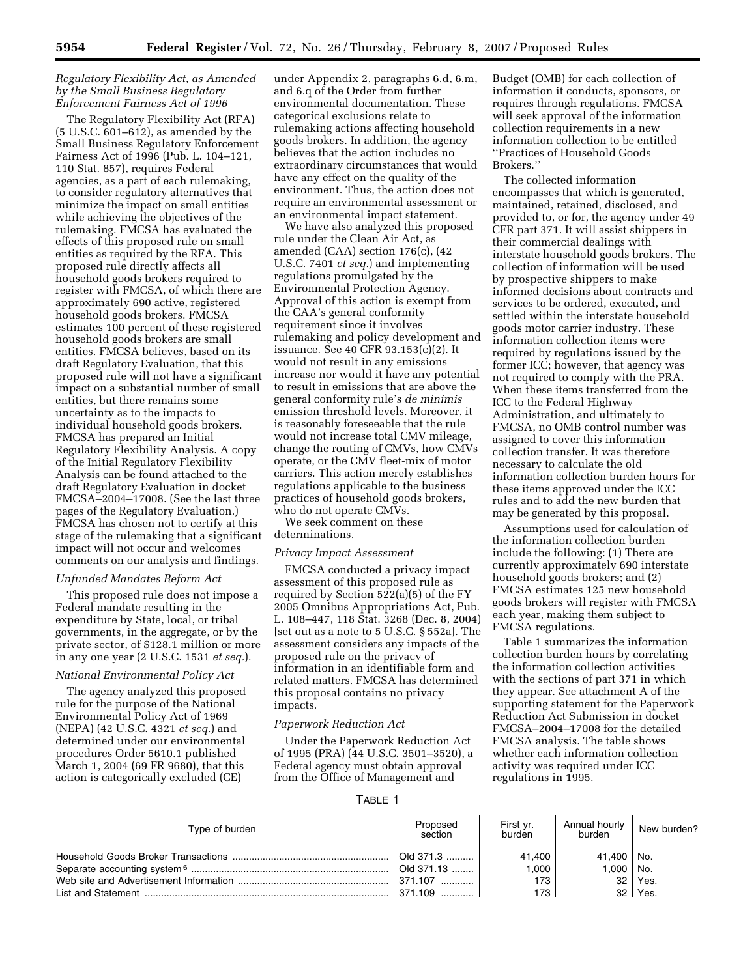# *Regulatory Flexibility Act, as Amended by the Small Business Regulatory Enforcement Fairness Act of 1996*

The Regulatory Flexibility Act (RFA) (5 U.S.C. 601–612), as amended by the Small Business Regulatory Enforcement Fairness Act of 1996 (Pub. L. 104–121, 110 Stat. 857), requires Federal agencies, as a part of each rulemaking, to consider regulatory alternatives that minimize the impact on small entities while achieving the objectives of the rulemaking. FMCSA has evaluated the effects of this proposed rule on small entities as required by the RFA. This proposed rule directly affects all household goods brokers required to register with FMCSA, of which there are approximately 690 active, registered household goods brokers. FMCSA estimates 100 percent of these registered household goods brokers are small entities. FMCSA believes, based on its draft Regulatory Evaluation, that this proposed rule will not have a significant impact on a substantial number of small entities, but there remains some uncertainty as to the impacts to individual household goods brokers. FMCSA has prepared an Initial Regulatory Flexibility Analysis. A copy of the Initial Regulatory Flexibility Analysis can be found attached to the draft Regulatory Evaluation in docket FMCSA–2004–17008. (See the last three pages of the Regulatory Evaluation.) FMCSA has chosen not to certify at this stage of the rulemaking that a significant impact will not occur and welcomes comments on our analysis and findings.

### *Unfunded Mandates Reform Act*

This proposed rule does not impose a Federal mandate resulting in the expenditure by State, local, or tribal governments, in the aggregate, or by the private sector, of \$128.1 million or more in any one year (2 U.S.C. 1531 *et seq.*).

### *National Environmental Policy Act*

The agency analyzed this proposed rule for the purpose of the National Environmental Policy Act of 1969 (NEPA) (42 U.S.C. 4321 *et seq.*) and determined under our environmental procedures Order 5610.1 published March 1, 2004 (69 FR 9680), that this action is categorically excluded (CE)

under Appendix 2, paragraphs 6.d, 6.m, and 6.q of the Order from further environmental documentation. These categorical exclusions relate to rulemaking actions affecting household goods brokers. In addition, the agency believes that the action includes no extraordinary circumstances that would have any effect on the quality of the environment. Thus, the action does not require an environmental assessment or an environmental impact statement.

We have also analyzed this proposed rule under the Clean Air Act, as amended (CAA) section 176(c), (42 U.S.C. 7401 *et seq.*) and implementing regulations promulgated by the Environmental Protection Agency. Approval of this action is exempt from the CAA's general conformity requirement since it involves rulemaking and policy development and issuance. See 40 CFR 93.153(c)(2). It would not result in any emissions increase nor would it have any potential to result in emissions that are above the general conformity rule's *de minimis*  emission threshold levels. Moreover, it is reasonably foreseeable that the rule would not increase total CMV mileage, change the routing of CMVs, how CMVs operate, or the CMV fleet-mix of motor carriers. This action merely establishes regulations applicable to the business practices of household goods brokers, who do not operate CMVs.

We seek comment on these determinations.

## *Privacy Impact Assessment*

FMCSA conducted a privacy impact assessment of this proposed rule as required by Section 522(a)(5) of the FY 2005 Omnibus Appropriations Act, Pub. L. 108–447, 118 Stat. 3268 (Dec. 8, 2004) [set out as a note to 5 U.S.C. § 552a]. The assessment considers any impacts of the proposed rule on the privacy of information in an identifiable form and related matters. FMCSA has determined this proposal contains no privacy impacts.

#### *Paperwork Reduction Act*

Under the Paperwork Reduction Act of 1995 (PRA) (44 U.S.C. 3501–3520), a Federal agency must obtain approval from the Office of Management and

Budget (OMB) for each collection of information it conducts, sponsors, or requires through regulations. FMCSA will seek approval of the information collection requirements in a new information collection to be entitled ''Practices of Household Goods Brokers.''

The collected information encompasses that which is generated, maintained, retained, disclosed, and provided to, or for, the agency under 49 CFR part 371. It will assist shippers in their commercial dealings with interstate household goods brokers. The collection of information will be used by prospective shippers to make informed decisions about contracts and services to be ordered, executed, and settled within the interstate household goods motor carrier industry. These information collection items were required by regulations issued by the former ICC; however, that agency was not required to comply with the PRA. When these items transferred from the ICC to the Federal Highway Administration, and ultimately to FMCSA, no OMB control number was assigned to cover this information collection transfer. It was therefore necessary to calculate the old information collection burden hours for these items approved under the ICC rules and to add the new burden that may be generated by this proposal.

Assumptions used for calculation of the information collection burden include the following: (1) There are currently approximately 690 interstate household goods brokers; and (2) FMCSA estimates 125 new household goods brokers will register with FMCSA each year, making them subject to FMCSA regulations.

Table 1 summarizes the information collection burden hours by correlating the information collection activities with the sections of part 371 in which they appear. See attachment A of the supporting statement for the Paperwork Reduction Act Submission in docket FMCSA–2004–17008 for the detailed FMCSA analysis. The table shows whether each information collection activity was required under ICC regulations in 1995.

TABLE 1

| Type of burden | Proposed<br>section   | First yr.<br>burden | Annual hourly<br>burden | New burden?    |
|----------------|-----------------------|---------------------|-------------------------|----------------|
|                | Old 371.3             | 41.400              | 41,400   No.            |                |
|                | $\vert$ Old 371.13    | 1.000               | 1,000   No.             |                |
|                | .371.107 <sup>1</sup> | 173                 |                         | $32 \mid$ Yes. |
|                | . 371.109 '           | 173                 |                         | $32 \mid$ Yes. |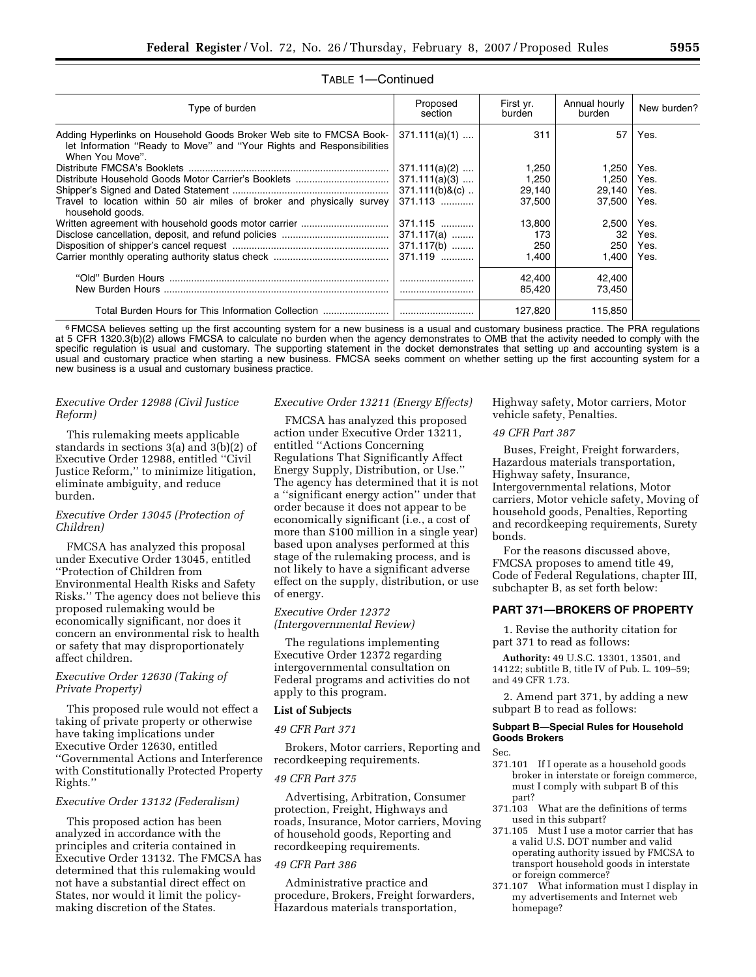| Type of burden                                                                                                                                                  | Proposed<br>section | First yr.<br>burden | Annual hourly<br>burden | New burden? |  |  |
|-----------------------------------------------------------------------------------------------------------------------------------------------------------------|---------------------|---------------------|-------------------------|-------------|--|--|
| Adding Hyperlinks on Household Goods Broker Web site to FMCSA Book-<br>let Information "Ready to Move" and "Your Rights and Responsibilities<br>When You Move". | $371.111(a)(1)$     | 311                 | 57                      | Yes.        |  |  |
|                                                                                                                                                                 | $371.111(a)(2)$     | 1,250               | 1.250                   | Yes.        |  |  |
| Distribute Household Goods Motor Carrier's Booklets                                                                                                             | $371.111(a)(3)$     | 1,250               | 1,250                   | Yes.        |  |  |
|                                                                                                                                                                 | $371.111(b)$ &(c)   | 29,140              | 29,140                  | Yes.        |  |  |
| Travel to location within 50 air miles of broker and physically survey<br>household goods.                                                                      | $371.113$           | 37,500              | 37,500                  | Yes.        |  |  |
|                                                                                                                                                                 | $371.115$           | 13,800              | 2,500                   | Yes.        |  |  |
|                                                                                                                                                                 | $371.117(a)$        | 173                 | 32                      | Yes.        |  |  |
|                                                                                                                                                                 | $371.117(b)$        | 250                 | 250                     | Yes.        |  |  |
|                                                                                                                                                                 | $371.119$           | 1,400               | 1,400                   | Yes.        |  |  |
|                                                                                                                                                                 |                     | 42,400<br>85,420    | 42,400<br>73,450        |             |  |  |
| Total Burden Hours for This Information Collection                                                                                                              |                     | 127,820             | 115,850                 |             |  |  |

# TABLE 1—Continued

<sup>6</sup> FMCSA believes setting up the first accounting system for a new business is a usual and customary business practice. The PRA regulations at 5 CFR 1320.3(b)(2) allows FMCSA to calculate no burden when the agency demonstrates to OMB that the activity needed to comply with the specific regulation is usual and customary. The supporting statement in the docket demonstrates that setting up and accounting system is a usual and customary practice when starting a new business. FMCSA seeks comment on whether setting up the first accounting system for a new business is a usual and customary business practice.

# *Executive Order 12988 (Civil Justice Reform)*

This rulemaking meets applicable standards in sections 3(a) and 3(b)(2) of Executive Order 12988, entitled ''Civil Justice Reform,'' to minimize litigation, eliminate ambiguity, and reduce burden.

# *Executive Order 13045 (Protection of Children)*

FMCSA has analyzed this proposal under Executive Order 13045, entitled ''Protection of Children from Environmental Health Risks and Safety Risks.'' The agency does not believe this proposed rulemaking would be economically significant, nor does it concern an environmental risk to health or safety that may disproportionately affect children.

## *Executive Order 12630 (Taking of Private Property)*

This proposed rule would not effect a taking of private property or otherwise have taking implications under Executive Order 12630, entitled ''Governmental Actions and Interference with Constitutionally Protected Property Rights.''

### *Executive Order 13132 (Federalism)*

This proposed action has been analyzed in accordance with the principles and criteria contained in Executive Order 13132. The FMCSA has determined that this rulemaking would not have a substantial direct effect on States, nor would it limit the policymaking discretion of the States.

#### *Executive Order 13211 (Energy Effects)*

FMCSA has analyzed this proposed action under Executive Order 13211, entitled ''Actions Concerning Regulations That Significantly Affect Energy Supply, Distribution, or Use.'' The agency has determined that it is not a ''significant energy action'' under that order because it does not appear to be economically significant (i.e., a cost of more than \$100 million in a single year) based upon analyses performed at this stage of the rulemaking process, and is not likely to have a significant adverse effect on the supply, distribution, or use of energy.

## *Executive Order 12372 (Intergovernmental Review)*

The regulations implementing Executive Order 12372 regarding intergovernmental consultation on Federal programs and activities do not apply to this program.

#### **List of Subjects**

### *49 CFR Part 371*

Brokers, Motor carriers, Reporting and recordkeeping requirements.

# *49 CFR Part 375*

Advertising, Arbitration, Consumer protection, Freight, Highways and roads, Insurance, Motor carriers, Moving of household goods, Reporting and recordkeeping requirements.

### *49 CFR Part 386*

Administrative practice and procedure, Brokers, Freight forwarders, Hazardous materials transportation,

Highway safety, Motor carriers, Motor vehicle safety, Penalties.

# *49 CFR Part 387*

Buses, Freight, Freight forwarders, Hazardous materials transportation, Highway safety, Insurance, Intergovernmental relations, Motor carriers, Motor vehicle safety, Moving of household goods, Penalties, Reporting and recordkeeping requirements, Surety bonds.

For the reasons discussed above, FMCSA proposes to amend title 49, Code of Federal Regulations, chapter III, subchapter B, as set forth below:

# **PART 371—BROKERS OF PROPERTY**

1. Revise the authority citation for part 371 to read as follows:

**Authority:** 49 U.S.C. 13301, 13501, and 14122; subtitle B, title IV of Pub. L. 109–59; and 49 CFR 1.73.

2. Amend part 371, by adding a new subpart B to read as follows:

### **Subpart B—Special Rules for Household Goods Brokers**

Sec.

- 371.101 If I operate as a household goods broker in interstate or foreign commerce, must I comply with subpart B of this part?
- 371.103 What are the definitions of terms used in this subpart?
- 371.105 Must I use a motor carrier that has a valid U.S. DOT number and valid operating authority issued by FMCSA to transport household goods in interstate or foreign commerce?
- 371.107 What information must I display in my advertisements and Internet web homepage?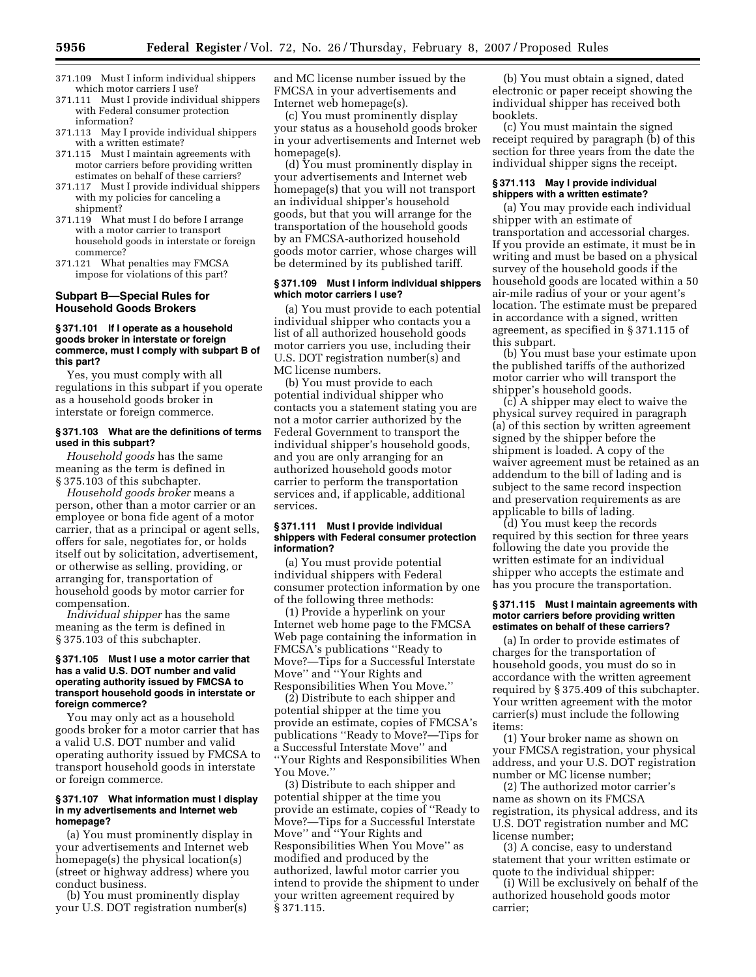- 371.109 Must I inform individual shippers which motor carriers I use?
- 371.111 Must I provide individual shippers with Federal consumer protection information?
- 371.113 May I provide individual shippers with a written estimate?
- 371.115 Must I maintain agreements with motor carriers before providing written estimates on behalf of these carriers?
- 371.117 Must I provide individual shippers with my policies for canceling a shipment?
- 371.119 What must I do before I arrange with a motor carrier to transport household goods in interstate or foreign commerce?
- 371.121 What penalties may FMCSA impose for violations of this part?

### **Subpart B—Special Rules for Household Goods Brokers**

### **§ 371.101 If I operate as a household goods broker in interstate or foreign commerce, must I comply with subpart B of this part?**

Yes, you must comply with all regulations in this subpart if you operate as a household goods broker in interstate or foreign commerce.

### **§ 371.103 What are the definitions of terms used in this subpart?**

*Household goods* has the same meaning as the term is defined in § 375.103 of this subchapter.

*Household goods broker* means a person, other than a motor carrier or an employee or bona fide agent of a motor carrier, that as a principal or agent sells, offers for sale, negotiates for, or holds itself out by solicitation, advertisement, or otherwise as selling, providing, or arranging for, transportation of household goods by motor carrier for compensation.

*Individual shipper* has the same meaning as the term is defined in § 375.103 of this subchapter.

#### **§ 371.105 Must I use a motor carrier that has a valid U.S. DOT number and valid operating authority issued by FMCSA to transport household goods in interstate or foreign commerce?**

You may only act as a household goods broker for a motor carrier that has a valid U.S. DOT number and valid operating authority issued by FMCSA to transport household goods in interstate or foreign commerce.

#### **§ 371.107 What information must I display in my advertisements and Internet web homepage?**

(a) You must prominently display in your advertisements and Internet web homepage(s) the physical location(s) (street or highway address) where you conduct business.

(b) You must prominently display your U.S. DOT registration number(s) and MC license number issued by the FMCSA in your advertisements and Internet web homepage(s).

(c) You must prominently display your status as a household goods broker in your advertisements and Internet web homepage(s).

(d) You must prominently display in your advertisements and Internet web homepage(s) that you will not transport an individual shipper's household goods, but that you will arrange for the transportation of the household goods by an FMCSA-authorized household goods motor carrier, whose charges will be determined by its published tariff.

## **§ 371.109 Must I inform individual shippers which motor carriers I use?**

(a) You must provide to each potential individual shipper who contacts you a list of all authorized household goods motor carriers you use, including their U.S. DOT registration number(s) and MC license numbers.

(b) You must provide to each potential individual shipper who contacts you a statement stating you are not a motor carrier authorized by the Federal Government to transport the individual shipper's household goods, and you are only arranging for an authorized household goods motor carrier to perform the transportation services and, if applicable, additional services.

#### **§ 371.111 Must I provide individual shippers with Federal consumer protection information?**

(a) You must provide potential individual shippers with Federal consumer protection information by one of the following three methods:

(1) Provide a hyperlink on your Internet web home page to the FMCSA Web page containing the information in FMCSA's publications ''Ready to Move?—Tips for a Successful Interstate Move'' and ''Your Rights and Responsibilities When You Move.''

(2) Distribute to each shipper and potential shipper at the time you provide an estimate, copies of FMCSA's publications ''Ready to Move?—Tips for a Successful Interstate Move'' and ''Your Rights and Responsibilities When You Move."

(3) Distribute to each shipper and potential shipper at the time you provide an estimate, copies of ''Ready to Move?—Tips for a Successful Interstate Move'' and ''Your Rights and Responsibilities When You Move'' as modified and produced by the authorized, lawful motor carrier you intend to provide the shipment to under your written agreement required by § 371.115.

(b) You must obtain a signed, dated electronic or paper receipt showing the individual shipper has received both booklets.

(c) You must maintain the signed receipt required by paragraph (b) of this section for three years from the date the individual shipper signs the receipt.

### **§ 371.113 May I provide individual shippers with a written estimate?**

(a) You may provide each individual shipper with an estimate of transportation and accessorial charges. If you provide an estimate, it must be in writing and must be based on a physical survey of the household goods if the household goods are located within a 50 air-mile radius of your or your agent's location. The estimate must be prepared in accordance with a signed, written agreement, as specified in § 371.115 of this subpart.

(b) You must base your estimate upon the published tariffs of the authorized motor carrier who will transport the shipper's household goods.

(c) A shipper may elect to waive the physical survey required in paragraph (a) of this section by written agreement signed by the shipper before the shipment is loaded. A copy of the waiver agreement must be retained as an addendum to the bill of lading and is subject to the same record inspection and preservation requirements as are applicable to bills of lading.

(d) You must keep the records required by this section for three years following the date you provide the written estimate for an individual shipper who accepts the estimate and has you procure the transportation.

#### **§ 371.115 Must I maintain agreements with motor carriers before providing written estimates on behalf of these carriers?**

(a) In order to provide estimates of charges for the transportation of household goods, you must do so in accordance with the written agreement required by § 375.409 of this subchapter. Your written agreement with the motor carrier(s) must include the following items:

(1) Your broker name as shown on your FMCSA registration, your physical address, and your U.S. DOT registration number or MC license number;

(2) The authorized motor carrier's name as shown on its FMCSA registration, its physical address, and its U.S. DOT registration number and MC license number;

(3) A concise, easy to understand statement that your written estimate or quote to the individual shipper:

(i) Will be exclusively on behalf of the authorized household goods motor carrier;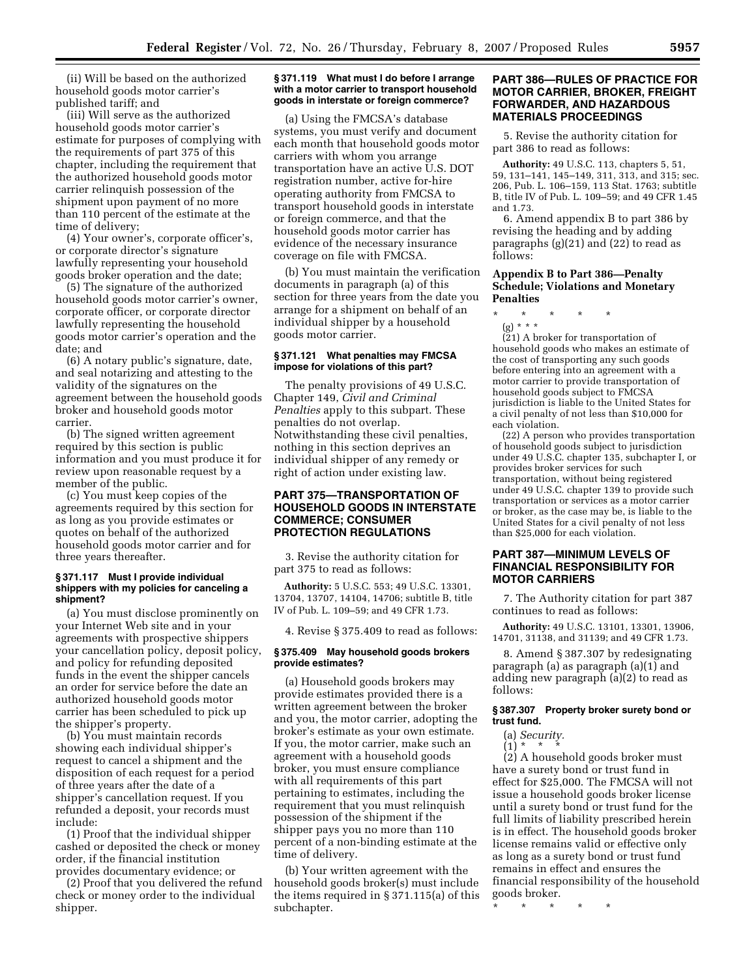(ii) Will be based on the authorized household goods motor carrier's published tariff; and

(iii) Will serve as the authorized household goods motor carrier's estimate for purposes of complying with the requirements of part 375 of this chapter, including the requirement that the authorized household goods motor carrier relinquish possession of the shipment upon payment of no more than 110 percent of the estimate at the time of delivery;

(4) Your owner's, corporate officer's, or corporate director's signature lawfully representing your household goods broker operation and the date;

(5) The signature of the authorized household goods motor carrier's owner, corporate officer, or corporate director lawfully representing the household goods motor carrier's operation and the date; and

(6) A notary public's signature, date, and seal notarizing and attesting to the validity of the signatures on the agreement between the household goods broker and household goods motor carrier.

(b) The signed written agreement required by this section is public information and you must produce it for review upon reasonable request by a member of the public.

(c) You must keep copies of the agreements required by this section for as long as you provide estimates or quotes on behalf of the authorized household goods motor carrier and for three years thereafter.

### **§ 371.117 Must I provide individual shippers with my policies for canceling a shipment?**

(a) You must disclose prominently on your Internet Web site and in your agreements with prospective shippers your cancellation policy, deposit policy, and policy for refunding deposited funds in the event the shipper cancels an order for service before the date an authorized household goods motor carrier has been scheduled to pick up the shipper's property.

(b) You must maintain records showing each individual shipper's request to cancel a shipment and the disposition of each request for a period of three years after the date of a shipper's cancellation request. If you refunded a deposit, your records must include:

(1) Proof that the individual shipper cashed or deposited the check or money order, if the financial institution provides documentary evidence; or

(2) Proof that you delivered the refund check or money order to the individual shipper.

#### **§ 371.119 What must I do before I arrange with a motor carrier to transport household goods in interstate or foreign commerce?**

(a) Using the FMCSA's database systems, you must verify and document each month that household goods motor carriers with whom you arrange transportation have an active U.S. DOT registration number, active for-hire operating authority from FMCSA to transport household goods in interstate or foreign commerce, and that the household goods motor carrier has evidence of the necessary insurance coverage on file with FMCSA.

(b) You must maintain the verification documents in paragraph (a) of this section for three years from the date you arrange for a shipment on behalf of an individual shipper by a household goods motor carrier.

### **§ 371.121 What penalties may FMCSA impose for violations of this part?**

The penalty provisions of 49 U.S.C. Chapter 149, *Civil and Criminal Penalties* apply to this subpart. These penalties do not overlap. Notwithstanding these civil penalties, nothing in this section deprives an individual shipper of any remedy or right of action under existing law.

# **PART 375—TRANSPORTATION OF HOUSEHOLD GOODS IN INTERSTATE COMMERCE; CONSUMER PROTECTION REGULATIONS**

3. Revise the authority citation for part 375 to read as follows:

**Authority:** 5 U.S.C. 553; 49 U.S.C. 13301, 13704, 13707, 14104, 14706; subtitle B, title IV of Pub. L. 109–59; and 49 CFR 1.73.

4. Revise § 375.409 to read as follows:

### **§ 375.409 May household goods brokers provide estimates?**

(a) Household goods brokers may provide estimates provided there is a written agreement between the broker and you, the motor carrier, adopting the broker's estimate as your own estimate. If you, the motor carrier, make such an agreement with a household goods broker, you must ensure compliance with all requirements of this part pertaining to estimates, including the requirement that you must relinquish possession of the shipment if the shipper pays you no more than 110 percent of a non-binding estimate at the time of delivery.

(b) Your written agreement with the household goods broker(s) must include the items required in § 371.115(a) of this subchapter.

# **PART 386—RULES OF PRACTICE FOR MOTOR CARRIER, BROKER, FREIGHT FORWARDER, AND HAZARDOUS MATERIALS PROCEEDINGS**

5. Revise the authority citation for part 386 to read as follows:

**Authority:** 49 U.S.C. 113, chapters 5, 51, 59, 131–141, 145–149, 311, 313, and 315; sec. 206, Pub. L. 106–159, 113 Stat. 1763; subtitle B, title IV of Pub. L. 109–59; and 49 CFR 1.45 and 1.73.

6. Amend appendix B to part 386 by revising the heading and by adding paragraphs (g)(21) and (22) to read as follows:

## **Appendix B to Part 386—Penalty Schedule; Violations and Monetary Penalties**

- \* \* \* \* \*
- (g) \* \* \*

(21) A broker for transportation of household goods who makes an estimate of the cost of transporting any such goods before entering into an agreement with a motor carrier to provide transportation of household goods subject to FMCSA jurisdiction is liable to the United States for a civil penalty of not less than \$10,000 for each violation.

(22) A person who provides transportation of household goods subject to jurisdiction under 49 U.S.C. chapter 135, subchapter I, or provides broker services for such transportation, without being registered under 49 U.S.C. chapter 139 to provide such transportation or services as a motor carrier or broker, as the case may be, is liable to the United States for a civil penalty of not less than \$25,000 for each violation.

# **PART 387—MINIMUM LEVELS OF FINANCIAL RESPONSIBILITY FOR MOTOR CARRIERS**

7. The Authority citation for part 387 continues to read as follows:

**Authority:** 49 U.S.C. 13101, 13301, 13906, 14701, 31138, and 31139; and 49 CFR 1.73.

8. Amend § 387.307 by redesignating paragraph (a) as paragraph (a)(1) and adding new paragraph (a)(2) to read as follows:

### **§ 387.307 Property broker surety bond or trust fund.**

(a)  $Security.$ <br>(1)  $*$   $*$   $*$ 

 $(1) *$ 

(2) A household goods broker must have a surety bond or trust fund in effect for \$25,000. The FMCSA will not issue a household goods broker license until a surety bond or trust fund for the full limits of liability prescribed herein is in effect. The household goods broker license remains valid or effective only as long as a surety bond or trust fund remains in effect and ensures the financial responsibility of the household goods broker.

\* \* \* \* \*